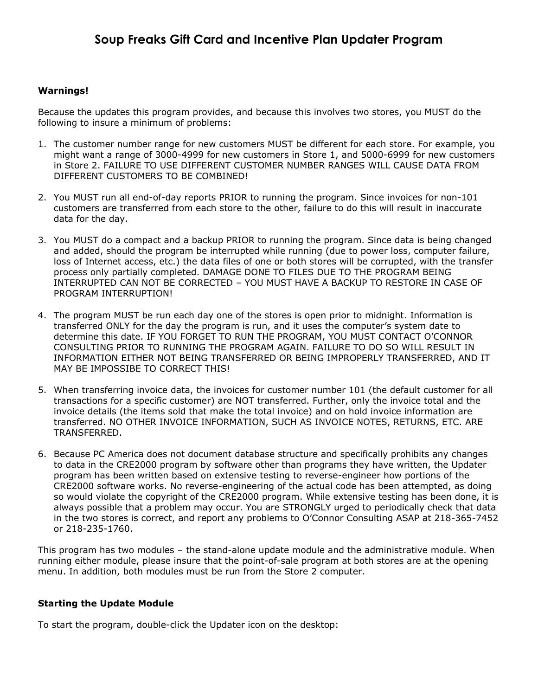### **Warnings!**

Because the updates this program provides, and because this involves two stores, you MUST do the following to insure a minimum of problems:

- 1. The customer number range for new customers MUST be different for each store. For example, you might want a range of 3000-4999 for new customers in Store 1, and 5000-6999 for new customers in Store 2. FAILURE TO USE DIFFERENT CUSTOMER NUMBER RANGES WILL CAUSE DATA FROM DIFFERENT CUSTOMERS TO BE COMBINED!
- 2. You MUST run all end-of-day reports PRIOR to running the program. Since invoices for non-101 customers are transferred from each store to the other, failure to do this will result in inaccurate data for the day.
- 3. You MUST do a compact and a backup PRIOR to running the program. Since data is being changed and added, should the program be interrupted while running (due to power loss, computer failure, loss of Internet access, etc.) the data files of one or both stores will be corrupted, with the transfer process only partially completed. DAMAGE DONE TO FILES DUE TO THE PROGRAM BEING INTERRUPTED CAN NOT BE CORRECTED – YOU MUST HAVE A BACKUP TO RESTORE IN CASE OF PROGRAM INTERRUPTION!
- 4. The program MUST be run each day one of the stores is open prior to midnight. Information is transferred ONLY for the day the program is run, and it uses the computer's system date to determine this date. IF YOU FORGET TO RUN THE PROGRAM, YOU MUST CONTACT O'CONNOR CONSULTING PRIOR TO RUNNING THE PROGRAM AGAIN. FAILURE TO DO SO WILL RESULT IN INFORMATION EITHER NOT BEING TRANSFERRED OR BEING IMPROPERLY TRANSFERRED, AND IT MAY BE IMPOSSIBE TO CORRECT THIS!
- 5. When transferring invoice data, the invoices for customer number 101 (the default customer for all transactions for a specific customer) are NOT transferred. Further, only the invoice total and the invoice details (the items sold that make the total invoice) and on hold invoice information are transferred. NO OTHER INVOICE INFORMATION, SUCH AS INVOICE NOTES, RETURNS, ETC. ARE TRANSFERRED.
- 6. Because PC America does not document database structure and specifically prohibits any changes to data in the CRE2000 program by software other than programs they have written, the Updater program has been written based on extensive testing to reverse-engineer how portions of the CRE2000 software works. No reverse-engineering of the actual code has been attempted, as doing so would violate the copyright of the CRE2000 program. While extensive testing has been done, it is always possible that a problem may occur. You are STRONGLY urged to periodically check that data in the two stores is correct, and report any problems to O'Connor Consulting ASAP at 218-365-7452 or 218-235-1760.

This program has two modules – the stand-alone update module and the administrative module. When running either module, please insure that the point-of-sale program at both stores are at the opening menu. In addition, both modules must be run from the Store 2 computer.

#### **Starting the Update Module**

To start the program, double-click the Updater icon on the desktop: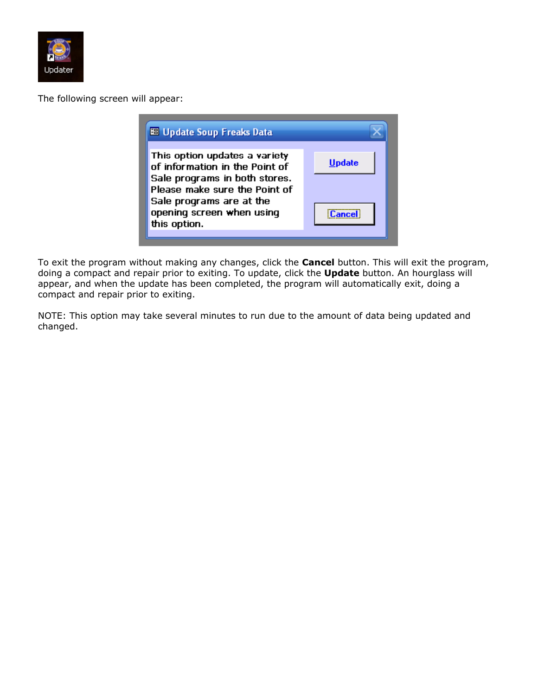

The following screen will appear:

| <b>88 Update Soup Freaks Data</b>                                                                                                                                                          |               |
|--------------------------------------------------------------------------------------------------------------------------------------------------------------------------------------------|---------------|
| This option updates a variety<br>of information in the Point of<br>Sale programs in both stores.<br>Please make sure the Point of<br>Sale programs are at the<br>opening screen when using | Undate        |
| this option.                                                                                                                                                                               | <b>Cancel</b> |

To exit the program without making any changes, click the **Cancel** button. This will exit the program, doing a compact and repair prior to exiting. To update, click the **Update** button. An hourglass will appear, and when the update has been completed, the program will automatically exit, doing a compact and repair prior to exiting.

NOTE: This option may take several minutes to run due to the amount of data being updated and changed.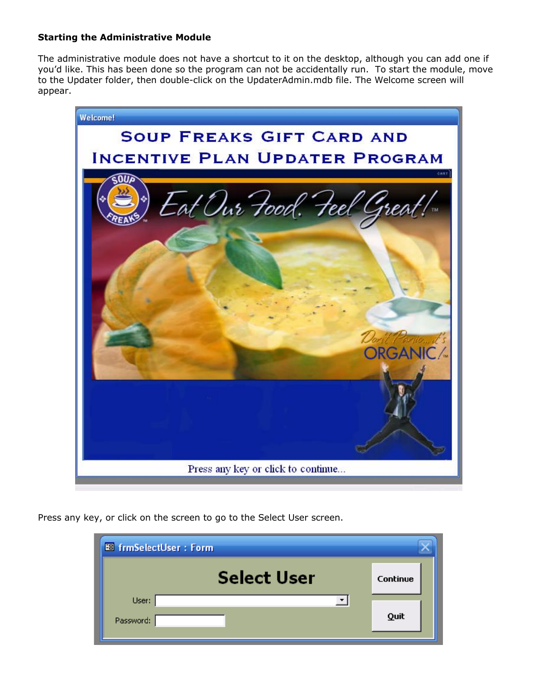## **Starting the Administrative Module**

The administrative module does not have a shortcut to it on the desktop, although you can add one if you'd like. This has been done so the program can not be accidentally run. To start the module, move to the Updater folder, then double-click on the UpdaterAdmin.mdb file. The Welcome screen will appear.



Press any key, or click on the screen to go to the Select User screen.

| <b>BB</b> frmSelectUser: Form |          |
|-------------------------------|----------|
| <b>Select User</b>            | Continue |
| User:<br>Password:            | Quit     |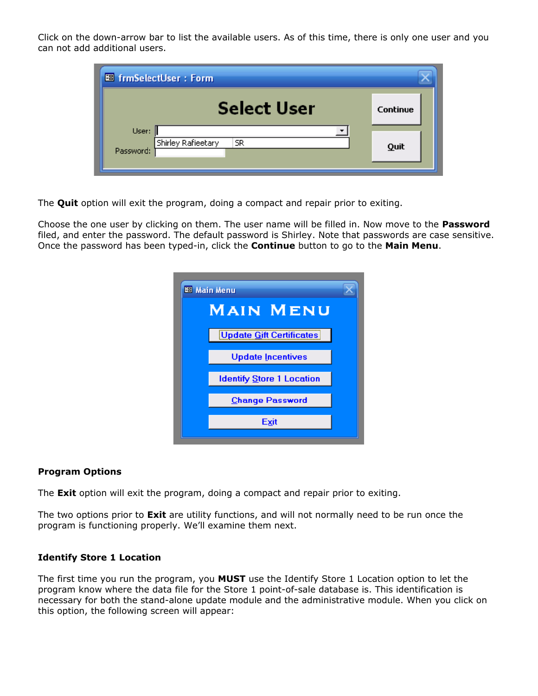Click on the down-arrow bar to list the available users. As of this time, there is only one user and you can not add additional users.

| <b>88 frmSelectUser: Form,</b>                 |          |
|------------------------------------------------|----------|
| <b>Select User</b>                             | Continue |
| User:<br>Shirley Rafieetary<br>SR<br>Password: | Quit     |

The **Quit** option will exit the program, doing a compact and repair prior to exiting.

Choose the one user by clicking on them. The user name will be filled in. Now move to the **Password** filed, and enter the password. The default password is Shirley. Note that passwords are case sensitive. Once the password has been typed-in, click the **Continue** button to go to the **Main Menu**.

| <b>88 Main Menu</b>              |
|----------------------------------|
| <b>MAIN MENU</b>                 |
| <b>Update Gift Certificates</b>  |
| <b>Update Incentives</b>         |
| <b>Identify Store 1 Location</b> |
| <b>Change Password</b>           |
| Exit                             |

#### **Program Options**

The **Exit** option will exit the program, doing a compact and repair prior to exiting.

The two options prior to **Exit** are utility functions, and will not normally need to be run once the program is functioning properly. We'll examine them next.

#### **Identify Store 1 Location**

The first time you run the program, you **MUST** use the Identify Store 1 Location option to let the program know where the data file for the Store 1 point-of-sale database is. This identification is necessary for both the stand-alone update module and the administrative module. When you click on this option, the following screen will appear: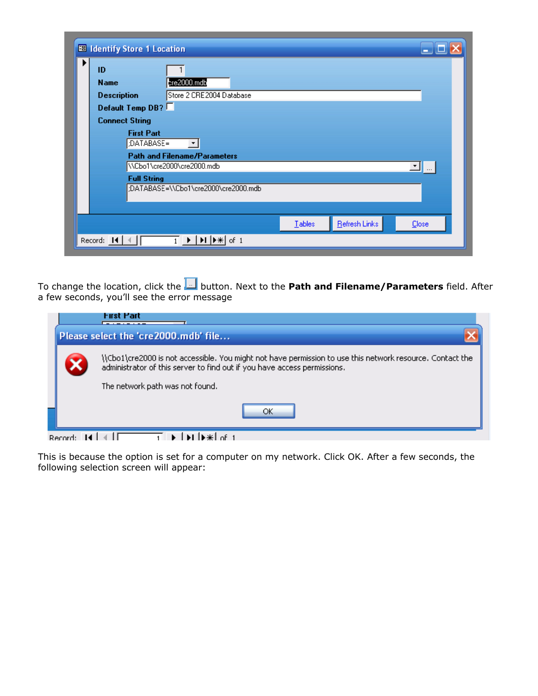|   | <b>BB</b> Identify Store 1 Location  |                    |                                                                                                 |  |        |               |              |
|---|--------------------------------------|--------------------|-------------------------------------------------------------------------------------------------|--|--------|---------------|--------------|
| ▶ | ID                                   |                    |                                                                                                 |  |        |               |              |
|   | <b>Name</b>                          |                    | $pre2000$ .mdb                                                                                  |  |        |               |              |
|   | <b>Description</b>                   |                    | Store 2 CRE2004 Database                                                                        |  |        |               |              |
|   | Default Temp DB?                     |                    |                                                                                                 |  |        |               |              |
|   | <b>Connect String</b>                |                    |                                                                                                 |  |        |               |              |
|   |                                      | <b>First Part</b>  |                                                                                                 |  |        |               |              |
|   | :DATABASE=<br>$\vert \cdot \vert$    |                    |                                                                                                 |  |        |               |              |
|   | <b>Path and Filename/Parameters</b>  |                    |                                                                                                 |  |        |               |              |
|   | \\Cbo1\cre2000\cre2000.mdb<br>ᆀ┈     |                    |                                                                                                 |  |        |               |              |
|   |                                      | <b>Full String</b> |                                                                                                 |  |        |               |              |
|   | :DATABASE=\\Cbo1\cre2000\cre2000.mdb |                    |                                                                                                 |  |        |               |              |
|   |                                      |                    |                                                                                                 |  |        |               |              |
|   |                                      |                    |                                                                                                 |  | Tables | Refresh Links | <b>Close</b> |
|   |                                      |                    |                                                                                                 |  |        |               |              |
|   | Record: 14                           |                    | $\blacktriangleright$   $\blacktriangleright$   $\blacktriangleright$ $\mathcal{H}$   of 1<br>1 |  |        |               |              |

To change the location, click the button. Next to the **Path and Filename/Parameters** field. After a few seconds, you'll see the error message

|              | First Part<br>Please select the 'cre2000.mdb' file                                                        |
|--------------|-----------------------------------------------------------------------------------------------------------|
|              | \\Cbo1\cre2000 is not accessible. You might not have permission to use this network resource. Contact the |
|              | administrator of this server to find out if you have access permissions.                                  |
|              | The network path was not found.                                                                           |
|              | ОΚ                                                                                                        |
| Docord: 14 L |                                                                                                           |

This is because the option is set for a computer on my network. Click OK. After a few seconds, the following selection screen will appear: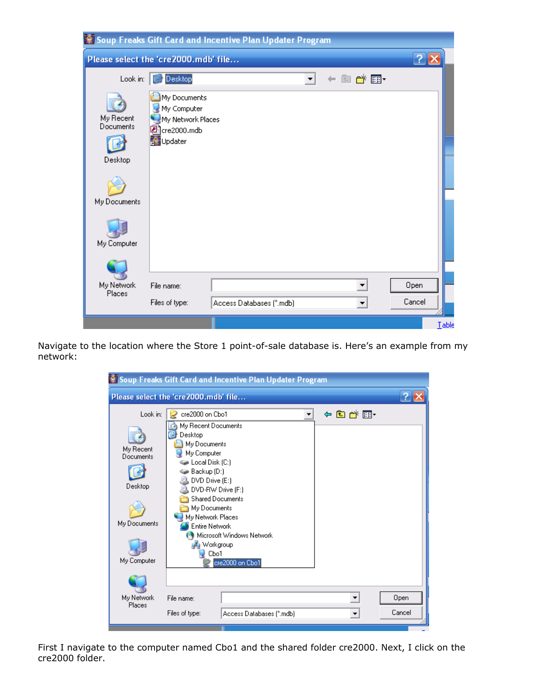|                                      |                                                                                        | Soup Freaks Gift Card and Incentive Plan Updater Program |            |                |
|--------------------------------------|----------------------------------------------------------------------------------------|----------------------------------------------------------|------------|----------------|
| Please select the 'cre2000.mdb' file |                                                                                        |                                                          |            |                |
| Look in:                             | <b>Desktop</b>                                                                         |                                                          | of El<br>m |                |
| My Recent<br>Documents<br>Desktop    | My Documents<br>My Computer<br>My Network Places<br>ed]cre2000.mdb<br><b>D</b> Updater |                                                          |            |                |
| My Documents                         |                                                                                        |                                                          |            |                |
| My Computer                          |                                                                                        |                                                          |            |                |
| My Network<br>Places                 | File name:<br>Files of type:                                                           | Access Databases (".mdb)                                 | ▼          | Open<br>Cancel |
|                                      |                                                                                        |                                                          |            | Table          |

Navigate to the location where the Store 1 point-of-sale database is. Here's an example from my network:

|                                                                              | Soup Freaks Gift Card and Incentive Plan Updater Program                                                                                                                                                                                                                                                                         |       |                |
|------------------------------------------------------------------------------|----------------------------------------------------------------------------------------------------------------------------------------------------------------------------------------------------------------------------------------------------------------------------------------------------------------------------------|-------|----------------|
|                                                                              | Please select the 'cre2000.mdb' file                                                                                                                                                                                                                                                                                             |       |                |
| Look in:<br>My Recent<br>Documents<br>Desktop<br>My Documents<br>My Computer | cre2000 on Cbo1<br>My Recent Documents<br>Desktop<br>My Documents<br>My Computer<br><b>D</b> Local Disk (C:)<br>Backup (D:)<br>DVD Drive (E:)<br>DVD-RW Drive (F:)<br><b>Shared Documents</b><br>My Documents<br>My Network Places<br><b>Entire Network</b><br>Microsoft Windows Network<br>Workgroup<br>Cbo1<br>cre2000 on Cbo1 | ←自び囲・ |                |
| My Network<br>Places                                                         | File name:<br>Files of type:<br>Access Databases (".mdb)                                                                                                                                                                                                                                                                         |       | Open<br>Cancel |

First I navigate to the computer named Cbo1 and the shared folder cre2000. Next, I click on the cre2000 folder.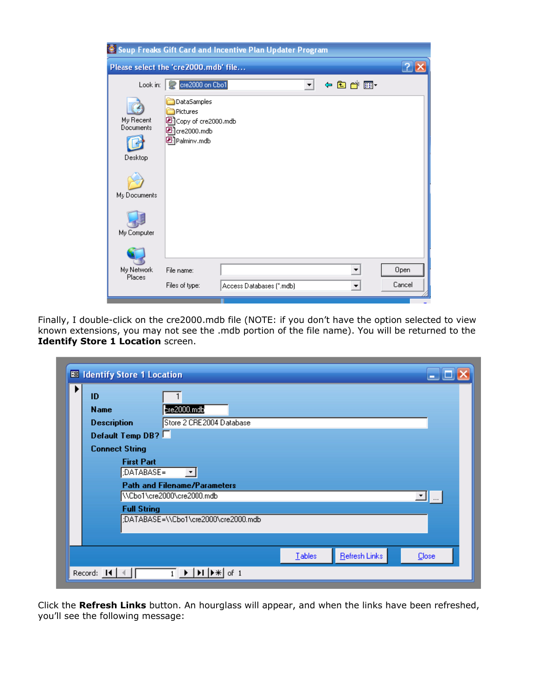|                                                                  |                                                                                     | Soup Freaks Gift Card and Incentive Plan Updater Program |                      |                      |        |
|------------------------------------------------------------------|-------------------------------------------------------------------------------------|----------------------------------------------------------|----------------------|----------------------|--------|
|                                                                  | Please select the 'cre2000.mdb' file                                                |                                                          |                      |                      |        |
| Look in:                                                         | cre2000 on Cbo1                                                                     |                                                          | $\blacktriangledown$ | ←自合画・                |        |
| My Recent<br>Documents<br>Desktop<br>My Documents<br>My Computer | DataSamples<br>Pictures<br>Copy of cre2000.mdb<br>Р<br>2]cre2000.mdb<br>Palminy.mdb |                                                          |                      |                      |        |
| My Network<br>Places                                             | File name:                                                                          |                                                          |                      |                      | Open   |
|                                                                  | Files of type:                                                                      | Access Databases (".mdb)                                 |                      | $\blacktriangledown$ | Cancel |

Finally, I double-click on the cre2000.mdb file (NOTE: if you don't have the option selected to view known extensions, you may not see the .mdb portion of the file name). You will be returned to the **Identify Store 1 Location** screen.

| ID                                                                      |                          |  |  |  |  |
|-------------------------------------------------------------------------|--------------------------|--|--|--|--|
| <b>Name</b>                                                             | $pre2000$ .mdb           |  |  |  |  |
| <b>Description</b>                                                      | Store 2 CRE2004 Database |  |  |  |  |
| Default Temp DB?                                                        |                          |  |  |  |  |
| <b>Connect String</b>                                                   |                          |  |  |  |  |
| <b>First Part</b><br>:DATABASE=<br>$\vert \cdot \vert$                  |                          |  |  |  |  |
| <b>Path and Filename/Parameters</b><br>\\Cbo1\cre2000\cre2000.mdb<br>ᆀᇞ |                          |  |  |  |  |
| <b>Full String</b><br>:DATABASE=\\Cbo1\cre2000\cre2000.mdb              |                          |  |  |  |  |
|                                                                         |                          |  |  |  |  |

Click the **Refresh Links** button. An hourglass will appear, and when the links have been refreshed, you'll see the following message: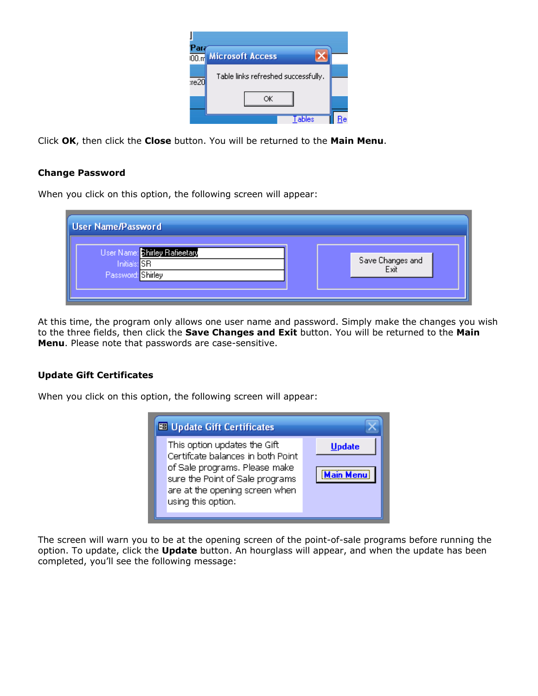| Par  | 00m Microsoft Access                |  |
|------|-------------------------------------|--|
| xe20 | Table links refreshed successfully. |  |
|      | ОK                                  |  |
|      |                                     |  |

Click **OK**, then click the **Close** button. You will be returned to the **Main Menu**.

## **Change Password**

When you click on this option, the following screen will appear:

| <b>User Name/Password</b>                                          |                          |
|--------------------------------------------------------------------|--------------------------|
| User Name: Shirley Rafieetary<br>Initials: SR<br>Password: Shirley | Save Changes and<br>Exit |

At this time, the program only allows one user name and password. Simply make the changes you wish to the three fields, then click the **Save Changes and Exit** button. You will be returned to the **Main Menu**. Please note that passwords are case-sensitive.

## **Update Gift Certificates**

When you click on this option, the following screen will appear:

| <b>EB Update Gift Certificates</b>                                                                                                                                                            |                                   |  |  |  |
|-----------------------------------------------------------------------------------------------------------------------------------------------------------------------------------------------|-----------------------------------|--|--|--|
| This option updates the Gift<br>Certifcate balances in both Point<br>of Sale programs. Please make<br>sure the Point of Sale programs<br>are at the opening screen when<br>using this option. | <b>Update</b><br><b>Main Menu</b> |  |  |  |

The screen will warn you to be at the opening screen of the point-of-sale programs before running the option. To update, click the **Update** button. An hourglass will appear, and when the update has been completed, you'll see the following message: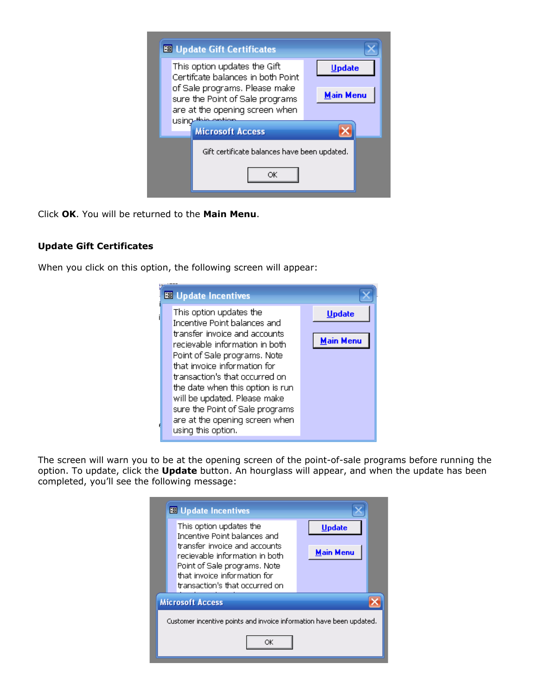

Click **OK**. You will be returned to the **Main Menu**.

# **Update Gift Certificates**

When you click on this option, the following screen will appear:

| <b>BB</b> Update Incentives                                       |                  |
|-------------------------------------------------------------------|------------------|
| This option updates the<br>Incentive Point balances and           | <b>Update</b>    |
| transfer invoice and accounts<br>recievable information in both   | <b>Main Menu</b> |
| Point of Sale programs. Note<br>that invoice information for      |                  |
| transaction's that occurred on                                    |                  |
| the date when this option is run<br>will be updated. Please make  |                  |
| sure the Point of Sale programs<br>are at the opening screen when |                  |
| using this option.                                                |                  |

The screen will warn you to be at the opening screen of the point-of-sale programs before running the option. To update, click the **Update** button. An hourglass will appear, and when the update has been completed, you'll see the following message:

|                                                                      | <b>EB</b> Update Incentives                                                                                                     |                  |  |  |  |
|----------------------------------------------------------------------|---------------------------------------------------------------------------------------------------------------------------------|------------------|--|--|--|
|                                                                      | This option updates the<br>Incentive Point balances and                                                                         | Update           |  |  |  |
|                                                                      | transfer invoice and accounts<br>recievable information in both<br>Point of Sale programs. Note<br>that invoice information for | <b>Main Menu</b> |  |  |  |
|                                                                      | transaction's that occurred on                                                                                                  |                  |  |  |  |
| <b>Microsoft Access</b>                                              |                                                                                                                                 |                  |  |  |  |
| Customer incentive points and invoice information have been updated. |                                                                                                                                 |                  |  |  |  |
| ОK                                                                   |                                                                                                                                 |                  |  |  |  |